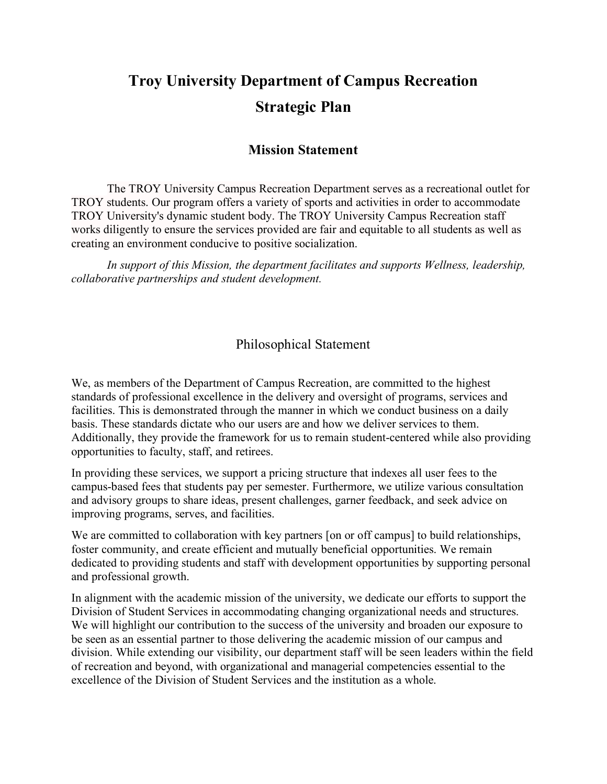# **Troy University Department of Campus Recreation Strategic Plan**

#### **Mission Statement**

The TROY University Campus Recreation Department serves as a recreational outlet for TROY students. Our program offers a variety of sports and activities in order to accommodate TROY University's dynamic student body. The TROY University Campus Recreation staff works diligently to ensure the services provided are fair and equitable to all students as well as creating an environment conducive to positive socialization.

*In support of this Mission, the department facilitates and supports Wellness, leadership, collaborative partnerships and student development.*

### Philosophical Statement

We, as members of the Department of Campus Recreation, are committed to the highest standards of professional excellence in the delivery and oversight of programs, services and facilities. This is demonstrated through the manner in which we conduct business on a daily basis. These standards dictate who our users are and how we deliver services to them. Additionally, they provide the framework for us to remain student-centered while also providing opportunities to faculty, staff, and retirees.

In providing these services, we support a pricing structure that indexes all user fees to the campus-based fees that students pay per semester. Furthermore, we utilize various consultation and advisory groups to share ideas, present challenges, garner feedback, and seek advice on improving programs, serves, and facilities.

We are committed to collaboration with key partners [on or off campus] to build relationships, foster community, and create efficient and mutually beneficial opportunities. We remain dedicated to providing students and staff with development opportunities by supporting personal and professional growth.

In alignment with the academic mission of the university, we dedicate our efforts to support the Division of Student Services in accommodating changing organizational needs and structures. We will highlight our contribution to the success of the university and broaden our exposure to be seen as an essential partner to those delivering the academic mission of our campus and division. While extending our visibility, our department staff will be seen leaders within the field of recreation and beyond, with organizational and managerial competencies essential to the excellence of the Division of Student Services and the institution as a whole.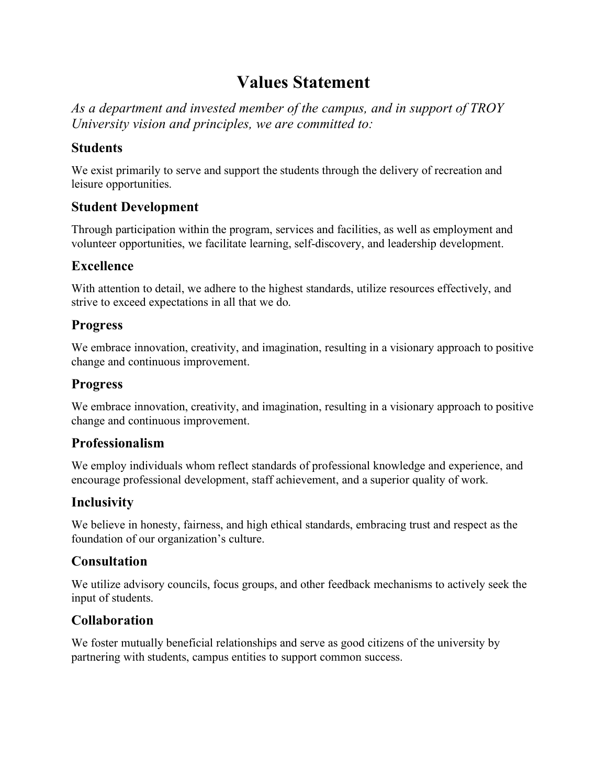# **Values Statement**

*As a department and invested member of the campus, and in support of TROY University vision and principles, we are committed to:* 

### **Students**

We exist primarily to serve and support the students through the delivery of recreation and leisure opportunities.

### **Student Development**

Through participation within the program, services and facilities, as well as employment and volunteer opportunities, we facilitate learning, self-discovery, and leadership development.

### **Excellence**

With attention to detail, we adhere to the highest standards, utilize resources effectively, and strive to exceed expectations in all that we do.

### **Progress**

We embrace innovation, creativity, and imagination, resulting in a visionary approach to positive change and continuous improvement.

### **Progress**

We embrace innovation, creativity, and imagination, resulting in a visionary approach to positive change and continuous improvement.

### **Professionalism**

We employ individuals whom reflect standards of professional knowledge and experience, and encourage professional development, staff achievement, and a superior quality of work.

### **Inclusivity**

We believe in honesty, fairness, and high ethical standards, embracing trust and respect as the foundation of our organization's culture.

### **Consultation**

We utilize advisory councils, focus groups, and other feedback mechanisms to actively seek the input of students.

### **Collaboration**

We foster mutually beneficial relationships and serve as good citizens of the university by partnering with students, campus entities to support common success.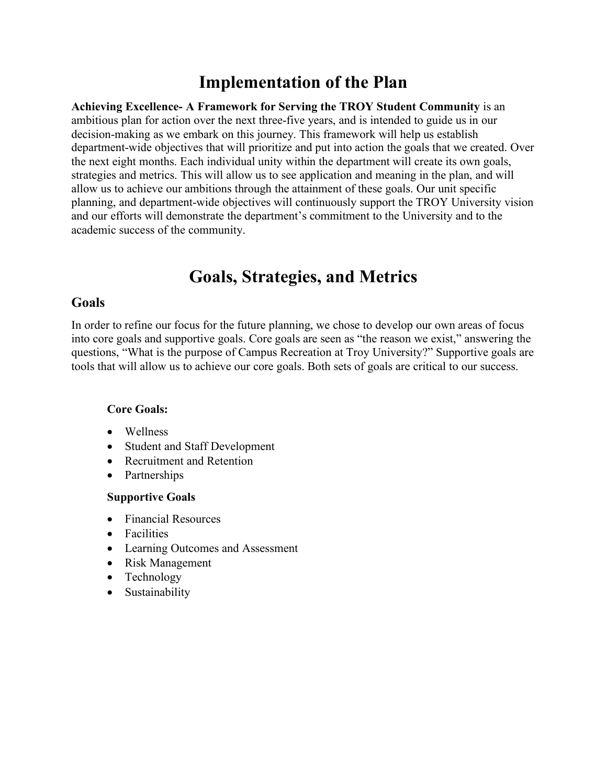# **Implementation of the Plan**

**Achieving Excellence- A Framework for Serving the TROY Student Community** is an ambitious plan for action over the next three-five years, and is intended to guide us in our decision-making as we embark on this journey. This framework will help us establish department-wide objectives that will prioritize and put into action the goals that we created. Over the next eight months. Each individual unity within the department will create its own goals, strategies and metrics. This will allow us to see application and meaning in the plan, and will allow us to achieve our ambitions through the attainment of these goals. Our unit specific planning, and department-wide objectives will continuously support the TROY University vision and our efforts will demonstrate the department's commitment to the University and to the academic success of the community.

# **Goals, Strategies, and Metrics**

#### **Goals**

In order to refine our focus for the future planning, we chose to develop our own areas of focus into core goals and supportive goals. Core goals are seen as "the reason we exist," answering the questions, "What is the purpose of Campus Recreation at Troy University?" Supportive goals are tools that will allow us to achieve our core goals. Both sets of goals are critical to our success.

#### **Core Goals:**

- Wellness
- Student and Staff Development
- Recruitment and Retention
- Partnerships

#### **Supportive Goals**

- Financial Resources
- Facilities
- Learning Outcomes and Assessment
- Risk Management
- Technology
- Sustainability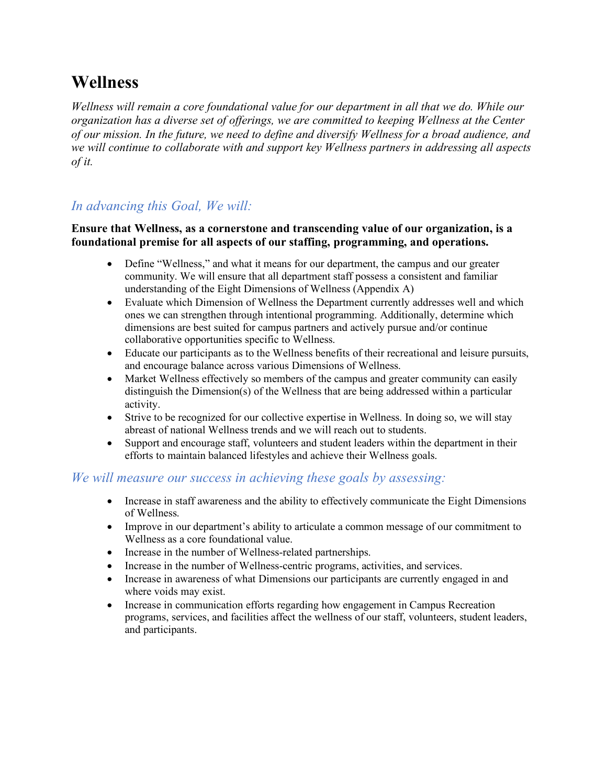# **Wellness**

*Wellness will remain a core foundational value for our department in all that we do. While our organization has a diverse set of offerings, we are committed to keeping Wellness at the Center of our mission. In the future, we need to define and diversify Wellness for a broad audience, and we will continue to collaborate with and support key Wellness partners in addressing all aspects of it.*

### *In advancing this Goal, We will:*

#### **Ensure that Wellness, as a cornerstone and transcending value of our organization, is a foundational premise for all aspects of our staffing, programming, and operations.**

- Define "Wellness," and what it means for our department, the campus and our greater community. We will ensure that all department staff possess a consistent and familiar understanding of the Eight Dimensions of Wellness (Appendix A)
- Evaluate which Dimension of Wellness the Department currently addresses well and which ones we can strengthen through intentional programming. Additionally, determine which dimensions are best suited for campus partners and actively pursue and/or continue collaborative opportunities specific to Wellness.
- Educate our participants as to the Wellness benefits of their recreational and leisure pursuits, and encourage balance across various Dimensions of Wellness.
- Market Wellness effectively so members of the campus and greater community can easily distinguish the Dimension(s) of the Wellness that are being addressed within a particular activity.
- Strive to be recognized for our collective expertise in Wellness. In doing so, we will stay abreast of national Wellness trends and we will reach out to students.
- Support and encourage staff, volunteers and student leaders within the department in their efforts to maintain balanced lifestyles and achieve their Wellness goals.

- Increase in staff awareness and the ability to effectively communicate the Eight Dimensions of Wellness.
- Improve in our department's ability to articulate a common message of our commitment to Wellness as a core foundational value.
- Increase in the number of Wellness-related partnerships.
- Increase in the number of Wellness-centric programs, activities, and services.
- Increase in awareness of what Dimensions our participants are currently engaged in and where voids may exist.
- Increase in communication efforts regarding how engagement in Campus Recreation programs, services, and facilities affect the wellness of our staff, volunteers, student leaders, and participants.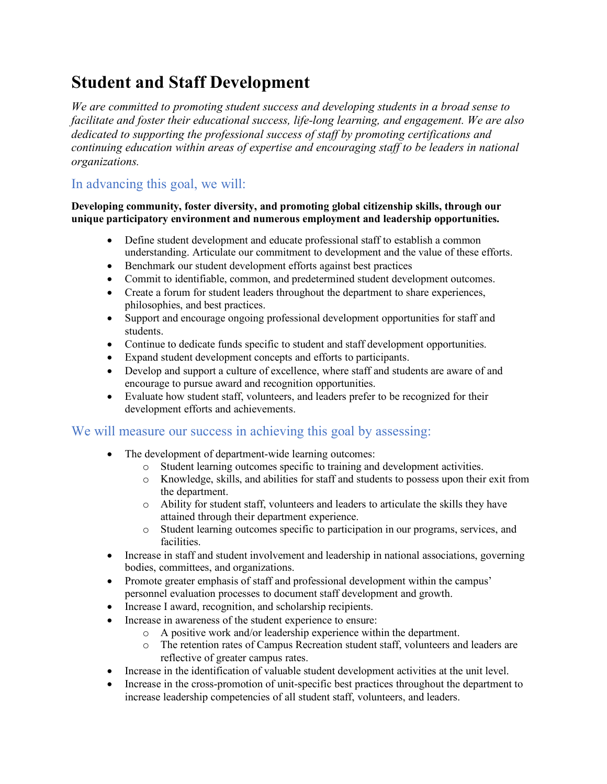# **Student and Staff Development**

*We are committed to promoting student success and developing students in a broad sense to facilitate and foster their educational success, life-long learning, and engagement. We are also dedicated to supporting the professional success of staff by promoting certifications and continuing education within areas of expertise and encouraging staff to be leaders in national organizations.*

# In advancing this goal, we will:

#### **Developing community, foster diversity, and promoting global citizenship skills, through our unique participatory environment and numerous employment and leadership opportunities.**

- Define student development and educate professional staff to establish a common understanding. Articulate our commitment to development and the value of these efforts.
- Benchmark our student development efforts against best practices
- Commit to identifiable, common, and predetermined student development outcomes.
- Create a forum for student leaders throughout the department to share experiences, philosophies, and best practices.
- Support and encourage ongoing professional development opportunities for staff and students.
- Continue to dedicate funds specific to student and staff development opportunities.
- Expand student development concepts and efforts to participants.
- Develop and support a culture of excellence, where staff and students are aware of and encourage to pursue award and recognition opportunities.
- Evaluate how student staff, volunteers, and leaders prefer to be recognized for their development efforts and achievements.

- The development of department-wide learning outcomes:
	- o Student learning outcomes specific to training and development activities.
	- o Knowledge, skills, and abilities for staff and students to possess upon their exit from the department.
	- o Ability for student staff, volunteers and leaders to articulate the skills they have attained through their department experience.
	- o Student learning outcomes specific to participation in our programs, services, and facilities.
- Increase in staff and student involvement and leadership in national associations, governing bodies, committees, and organizations.
- Promote greater emphasis of staff and professional development within the campus' personnel evaluation processes to document staff development and growth.
- Increase I award, recognition, and scholarship recipients.
- Increase in awareness of the student experience to ensure:
	- o A positive work and/or leadership experience within the department.
	- o The retention rates of Campus Recreation student staff, volunteers and leaders are reflective of greater campus rates.
- Increase in the identification of valuable student development activities at the unit level.
- Increase in the cross-promotion of unit-specific best practices throughout the department to increase leadership competencies of all student staff, volunteers, and leaders.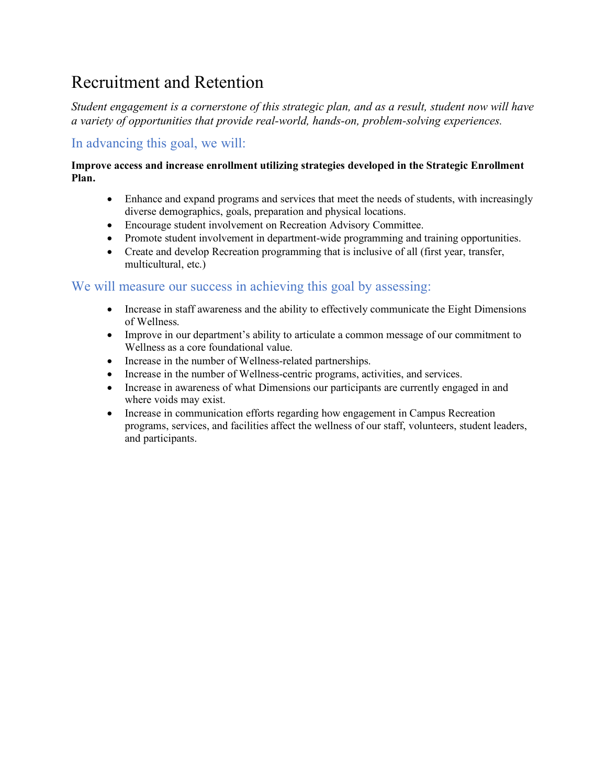# Recruitment and Retention

*Student engagement is a cornerstone of this strategic plan, and as a result, student now will have a variety of opportunities that provide real-world, hands-on, problem-solving experiences.*

# In advancing this goal, we will:

#### **Improve access and increase enrollment utilizing strategies developed in the Strategic Enrollment Plan.**

- Enhance and expand programs and services that meet the needs of students, with increasingly diverse demographics, goals, preparation and physical locations.
- Encourage student involvement on Recreation Advisory Committee.
- Promote student involvement in department-wide programming and training opportunities.
- Create and develop Recreation programming that is inclusive of all (first year, transfer, multicultural, etc.)

- Increase in staff awareness and the ability to effectively communicate the Eight Dimensions of Wellness.
- Improve in our department's ability to articulate a common message of our commitment to Wellness as a core foundational value.
- Increase in the number of Wellness-related partnerships.
- Increase in the number of Wellness-centric programs, activities, and services.
- Increase in awareness of what Dimensions our participants are currently engaged in and where voids may exist.
- Increase in communication efforts regarding how engagement in Campus Recreation programs, services, and facilities affect the wellness of our staff, volunteers, student leaders, and participants.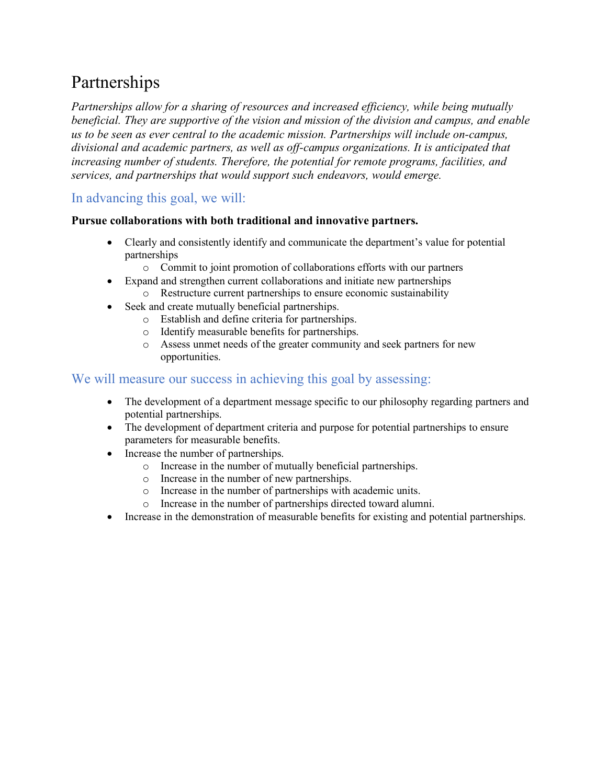# Partnerships

*Partnerships allow for a sharing of resources and increased efficiency, while being mutually beneficial. They are supportive of the vision and mission of the division and campus, and enable us to be seen as ever central to the academic mission. Partnerships will include on-campus, divisional and academic partners, as well as off-campus organizations. It is anticipated that increasing number of students. Therefore, the potential for remote programs, facilities, and services, and partnerships that would support such endeavors, would emerge.*

### In advancing this goal, we will:

#### **Pursue collaborations with both traditional and innovative partners.**

- Clearly and consistently identify and communicate the department's value for potential partnerships
	- o Commit to joint promotion of collaborations efforts with our partners
- Expand and strengthen current collaborations and initiate new partnerships o Restructure current partnerships to ensure economic sustainability
- Seek and create mutually beneficial partnerships.
	- o Establish and define criteria for partnerships.
	- o Identify measurable benefits for partnerships.
	- o Assess unmet needs of the greater community and seek partners for new opportunities.

- The development of a department message specific to our philosophy regarding partners and potential partnerships.
- The development of department criteria and purpose for potential partnerships to ensure parameters for measurable benefits.
- Increase the number of partnerships.
	- o Increase in the number of mutually beneficial partnerships.
	- o Increase in the number of new partnerships.
	- o Increase in the number of partnerships with academic units.
	- o Increase in the number of partnerships directed toward alumni.
- Increase in the demonstration of measurable benefits for existing and potential partnerships.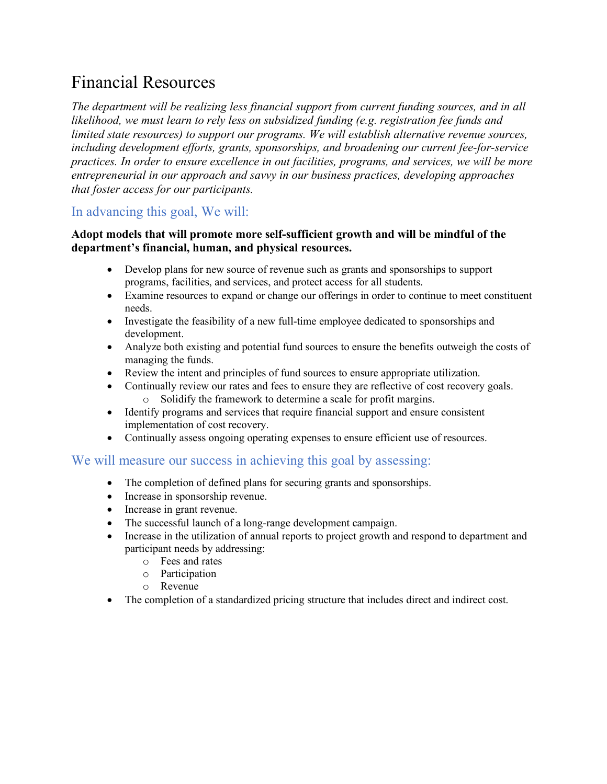# Financial Resources

*The department will be realizing less financial support from current funding sources, and in all likelihood, we must learn to rely less on subsidized funding (e.g. registration fee funds and limited state resources) to support our programs. We will establish alternative revenue sources, including development efforts, grants, sponsorships, and broadening our current fee-for-service practices. In order to ensure excellence in out facilities, programs, and services, we will be more entrepreneurial in our approach and savvy in our business practices, developing approaches that foster access for our participants.*

### In advancing this goal, We will:

#### **Adopt models that will promote more self-sufficient growth and will be mindful of the department's financial, human, and physical resources.**

- Develop plans for new source of revenue such as grants and sponsorships to support programs, facilities, and services, and protect access for all students.
- Examine resources to expand or change our offerings in order to continue to meet constituent needs.
- Investigate the feasibility of a new full-time employee dedicated to sponsorships and development.
- Analyze both existing and potential fund sources to ensure the benefits outweigh the costs of managing the funds.
- Review the intent and principles of fund sources to ensure appropriate utilization.
- Continually review our rates and fees to ensure they are reflective of cost recovery goals. o Solidify the framework to determine a scale for profit margins.
- Identify programs and services that require financial support and ensure consistent implementation of cost recovery.
- Continually assess ongoing operating expenses to ensure efficient use of resources.

- The completion of defined plans for securing grants and sponsorships.
- Increase in sponsorship revenue.
- Increase in grant revenue.
- The successful launch of a long-range development campaign.
- Increase in the utilization of annual reports to project growth and respond to department and participant needs by addressing:
	- o Fees and rates
	- o Participation
	- o Revenue
- The completion of a standardized pricing structure that includes direct and indirect cost.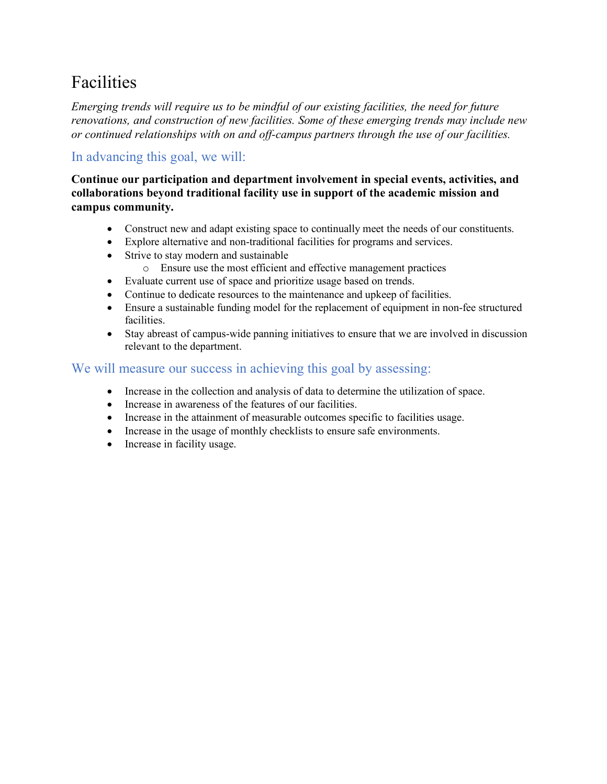# Facilities

*Emerging trends will require us to be mindful of our existing facilities, the need for future renovations, and construction of new facilities. Some of these emerging trends may include new or continued relationships with on and off-campus partners through the use of our facilities.*

# In advancing this goal, we will:

**Continue our participation and department involvement in special events, activities, and collaborations beyond traditional facility use in support of the academic mission and campus community.**

- Construct new and adapt existing space to continually meet the needs of our constituents.
- Explore alternative and non-traditional facilities for programs and services.
- Strive to stay modern and sustainable
	- o Ensure use the most efficient and effective management practices
- Evaluate current use of space and prioritize usage based on trends.
- Continue to dedicate resources to the maintenance and upkeep of facilities.
- Ensure a sustainable funding model for the replacement of equipment in non-fee structured facilities.
- Stay abreast of campus-wide panning initiatives to ensure that we are involved in discussion relevant to the department.

- Increase in the collection and analysis of data to determine the utilization of space.
- Increase in awareness of the features of our facilities.
- Increase in the attainment of measurable outcomes specific to facilities usage.
- Increase in the usage of monthly checklists to ensure safe environments.
- Increase in facility usage.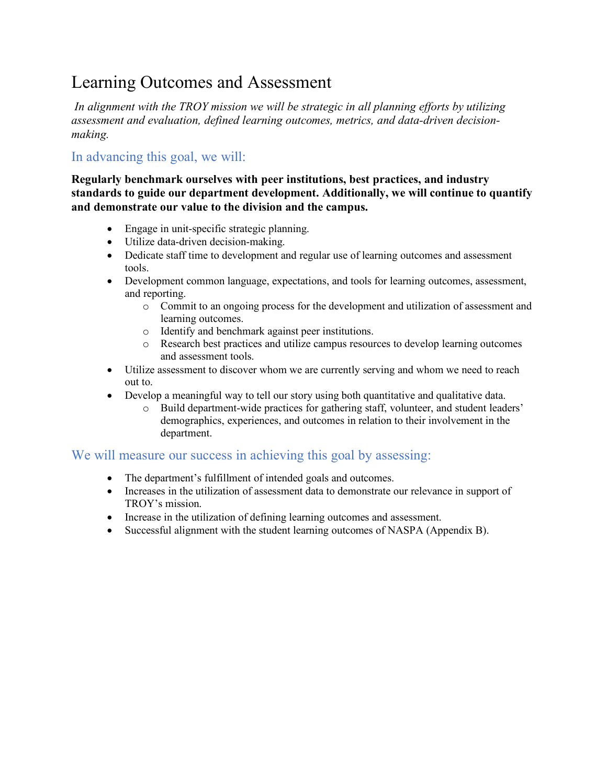# Learning Outcomes and Assessment

*In alignment with the TROY mission we will be strategic in all planning efforts by utilizing assessment and evaluation, defined learning outcomes, metrics, and data-driven decisionmaking.*

### In advancing this goal, we will:

**Regularly benchmark ourselves with peer institutions, best practices, and industry standards to guide our department development. Additionally, we will continue to quantify and demonstrate our value to the division and the campus.**

- Engage in unit-specific strategic planning.
- Utilize data-driven decision-making.
- Dedicate staff time to development and regular use of learning outcomes and assessment tools.
- Development common language, expectations, and tools for learning outcomes, assessment, and reporting.
	- o Commit to an ongoing process for the development and utilization of assessment and learning outcomes.
	- o Identify and benchmark against peer institutions.
	- o Research best practices and utilize campus resources to develop learning outcomes and assessment tools.
- Utilize assessment to discover whom we are currently serving and whom we need to reach out to.
- Develop a meaningful way to tell our story using both quantitative and qualitative data.
	- o Build department-wide practices for gathering staff, volunteer, and student leaders' demographics, experiences, and outcomes in relation to their involvement in the department.

- The department's fulfillment of intended goals and outcomes.
- Increases in the utilization of assessment data to demonstrate our relevance in support of TROY's mission.
- Increase in the utilization of defining learning outcomes and assessment.
- Successful alignment with the student learning outcomes of NASPA (Appendix B).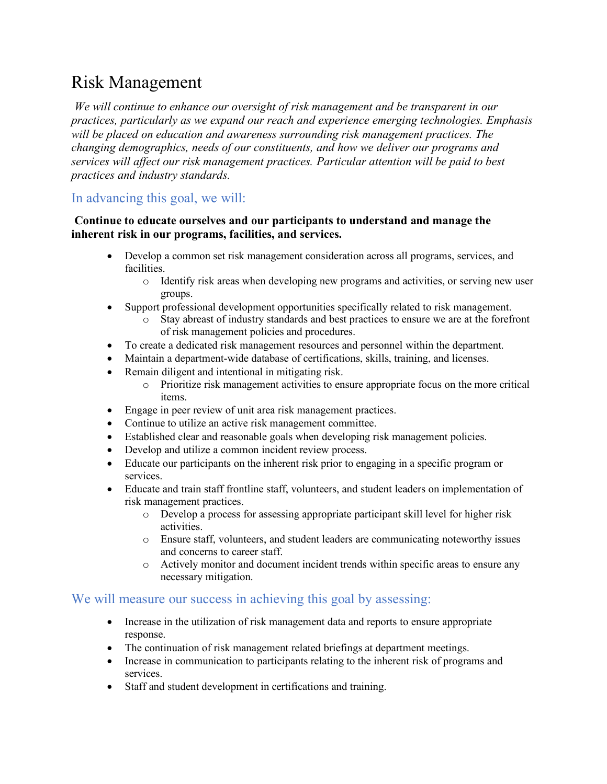# Risk Management

*We will continue to enhance our oversight of risk management and be transparent in our practices, particularly as we expand our reach and experience emerging technologies. Emphasis will be placed on education and awareness surrounding risk management practices. The changing demographics, needs of our constituents, and how we deliver our programs and services will affect our risk management practices. Particular attention will be paid to best practices and industry standards.*

### In advancing this goal, we will:

#### **Continue to educate ourselves and our participants to understand and manage the inherent risk in our programs, facilities, and services.**

- Develop a common set risk management consideration across all programs, services, and facilities.
	- o Identify risk areas when developing new programs and activities, or serving new user groups.
- Support professional development opportunities specifically related to risk management.
	- o Stay abreast of industry standards and best practices to ensure we are at the forefront of risk management policies and procedures.
- To create a dedicated risk management resources and personnel within the department.
- Maintain a department-wide database of certifications, skills, training, and licenses.
- Remain diligent and intentional in mitigating risk.
	- o Prioritize risk management activities to ensure appropriate focus on the more critical items.
- Engage in peer review of unit area risk management practices.
- Continue to utilize an active risk management committee.
- Established clear and reasonable goals when developing risk management policies.
- Develop and utilize a common incident review process.
- Educate our participants on the inherent risk prior to engaging in a specific program or services.
- Educate and train staff frontline staff, volunteers, and student leaders on implementation of risk management practices.
	- o Develop a process for assessing appropriate participant skill level for higher risk activities.
	- o Ensure staff, volunteers, and student leaders are communicating noteworthy issues and concerns to career staff.
	- o Actively monitor and document incident trends within specific areas to ensure any necessary mitigation.

- Increase in the utilization of risk management data and reports to ensure appropriate response.
- The continuation of risk management related briefings at department meetings.
- Increase in communication to participants relating to the inherent risk of programs and services.
- Staff and student development in certifications and training.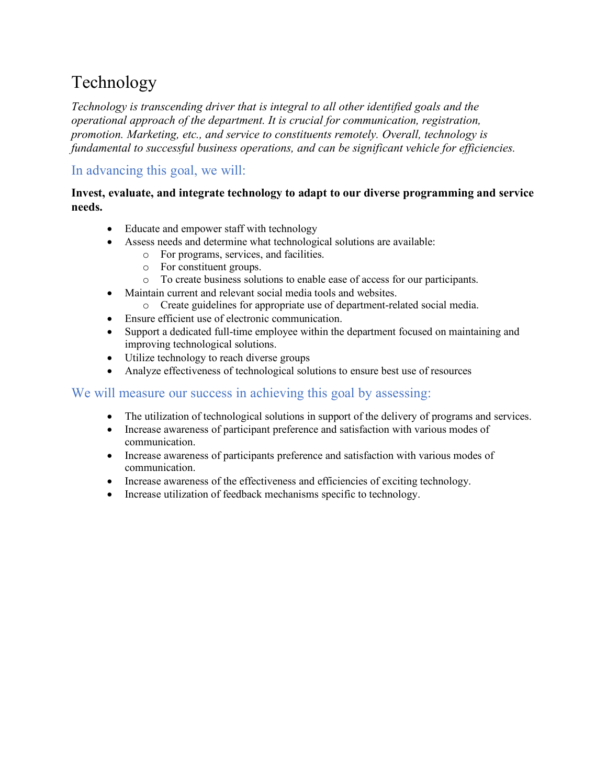# Technology

*Technology is transcending driver that is integral to all other identified goals and the operational approach of the department. It is crucial for communication, registration, promotion. Marketing, etc., and service to constituents remotely. Overall, technology is fundamental to successful business operations, and can be significant vehicle for efficiencies.*

# In advancing this goal, we will:

#### **Invest, evaluate, and integrate technology to adapt to our diverse programming and service needs.**

- Educate and empower staff with technology
- Assess needs and determine what technological solutions are available:
	- o For programs, services, and facilities.
		- o For constituent groups.
		- o To create business solutions to enable ease of access for our participants.
- Maintain current and relevant social media tools and websites.
	- o Create guidelines for appropriate use of department-related social media.
- Ensure efficient use of electronic communication.
- Support a dedicated full-time employee within the department focused on maintaining and improving technological solutions.
- Utilize technology to reach diverse groups
- Analyze effectiveness of technological solutions to ensure best use of resources

- The utilization of technological solutions in support of the delivery of programs and services.
- Increase awareness of participant preference and satisfaction with various modes of communication.
- Increase awareness of participants preference and satisfaction with various modes of communication.
- Increase awareness of the effectiveness and efficiencies of exciting technology.
- Increase utilization of feedback mechanisms specific to technology.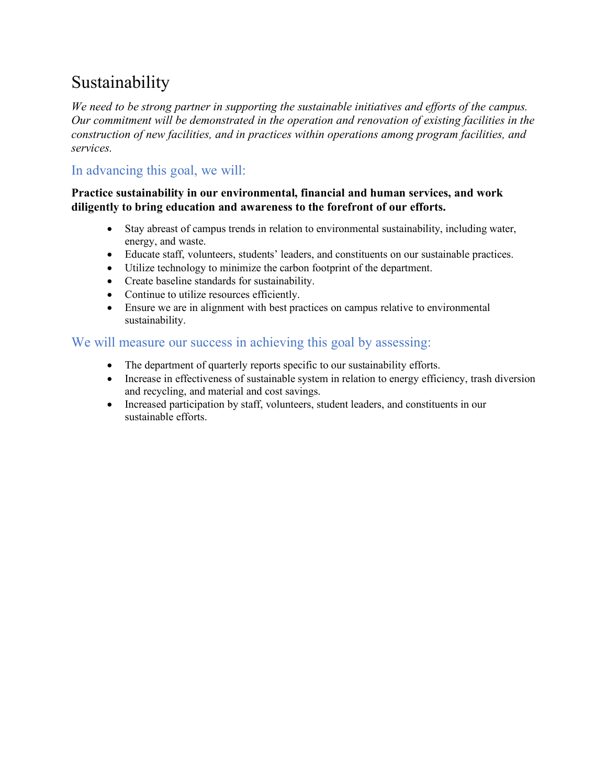# Sustainability

*We need to be strong partner in supporting the sustainable initiatives and efforts of the campus. Our commitment will be demonstrated in the operation and renovation of existing facilities in the construction of new facilities, and in practices within operations among program facilities, and services.*

# In advancing this goal, we will:

#### **Practice sustainability in our environmental, financial and human services, and work diligently to bring education and awareness to the forefront of our efforts.**

- Stay abreast of campus trends in relation to environmental sustainability, including water, energy, and waste.
- Educate staff, volunteers, students' leaders, and constituents on our sustainable practices.
- Utilize technology to minimize the carbon footprint of the department.
- Create baseline standards for sustainability.
- Continue to utilize resources efficiently.
- Ensure we are in alignment with best practices on campus relative to environmental sustainability.

- The department of quarterly reports specific to our sustainability efforts.
- Increase in effectiveness of sustainable system in relation to energy efficiency, trash diversion and recycling, and material and cost savings.
- Increased participation by staff, volunteers, student leaders, and constituents in our sustainable efforts.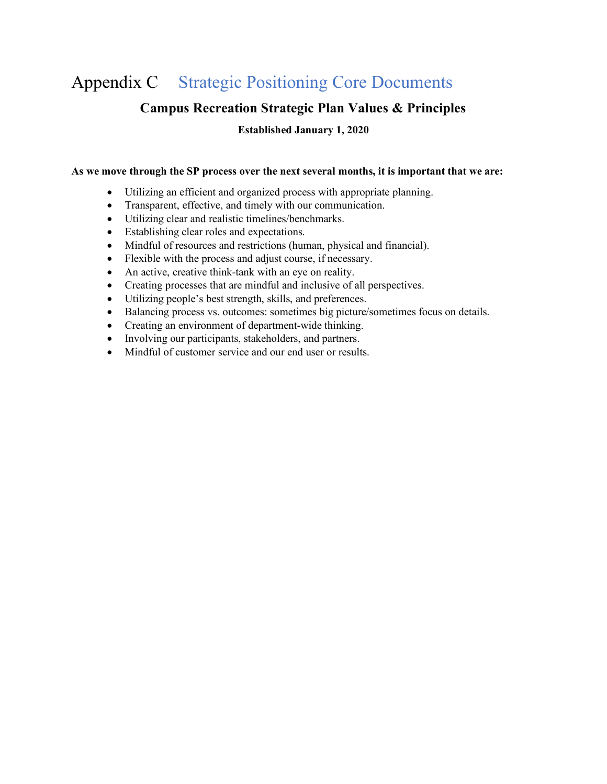# Appendix C Strategic Positioning Core Documents

### **Campus Recreation Strategic Plan Values & Principles**

**Established January 1, 2020**

#### **As we move through the SP process over the next several months, it is important that we are:**

- Utilizing an efficient and organized process with appropriate planning.
- Transparent, effective, and timely with our communication.
- Utilizing clear and realistic timelines/benchmarks.
- Establishing clear roles and expectations.
- Mindful of resources and restrictions (human, physical and financial).
- Flexible with the process and adjust course, if necessary.
- An active, creative think-tank with an eye on reality.
- Creating processes that are mindful and inclusive of all perspectives.
- Utilizing people's best strength, skills, and preferences.
- Balancing process vs. outcomes: sometimes big picture/sometimes focus on details.
- Creating an environment of department-wide thinking.
- Involving our participants, stakeholders, and partners.
- Mindful of customer service and our end user or results.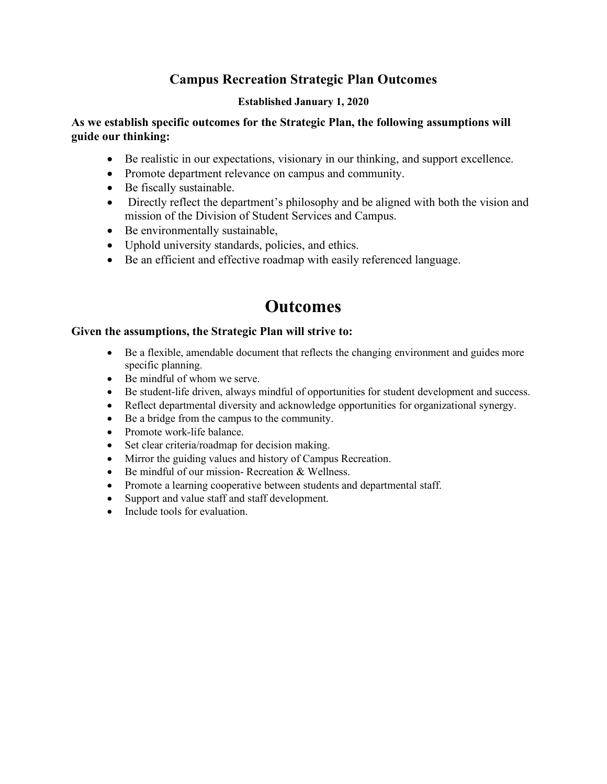# **Campus Recreation Strategic Plan Outcomes**

#### **Established January 1, 2020**

#### **As we establish specific outcomes for the Strategic Plan, the following assumptions will guide our thinking:**

- Be realistic in our expectations, visionary in our thinking, and support excellence.
- Promote department relevance on campus and community.
- Be fiscally sustainable.
- Directly reflect the department's philosophy and be aligned with both the vision and mission of the Division of Student Services and Campus.
- Be environmentally sustainable,
- Uphold university standards, policies, and ethics.
- Be an efficient and effective roadmap with easily referenced language.

# **Outcomes**

#### **Given the assumptions, the Strategic Plan will strive to:**

- Be a flexible, amendable document that reflects the changing environment and guides more specific planning.
- Be mindful of whom we serve.
- Be student-life driven, always mindful of opportunities for student development and success.
- Reflect departmental diversity and acknowledge opportunities for organizational synergy.
- Be a bridge from the campus to the community.
- Promote work-life balance.
- Set clear criteria/roadmap for decision making.
- Mirror the guiding values and history of Campus Recreation.
- Be mindful of our mission- Recreation & Wellness.
- Promote a learning cooperative between students and departmental staff.
- Support and value staff and staff development.
- Include tools for evaluation.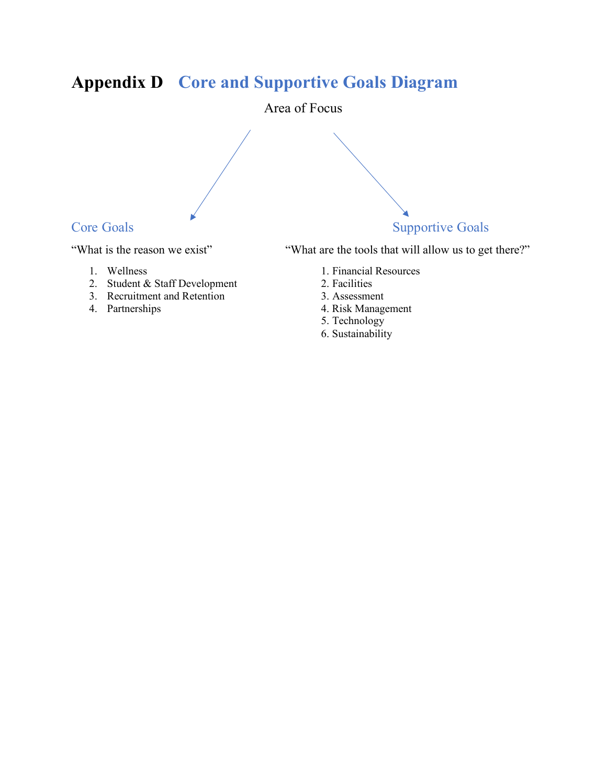# **Appendix D Core and Supportive Goals Diagram**

Area of Focus



- 
- 2. Student & Staff Development 2. Facilities
- 3. Recruitment and Retention 3. Assessment<br>4. Partnerships 4. Risk Manage
- 

"What is the reason we exist" "What are the tools that will allow us to get there?"

- 1. Wellness 1. Financial Resources
	-
	-
	- 4. Risk Management
	- 5. Technology
	- 6. Sustainability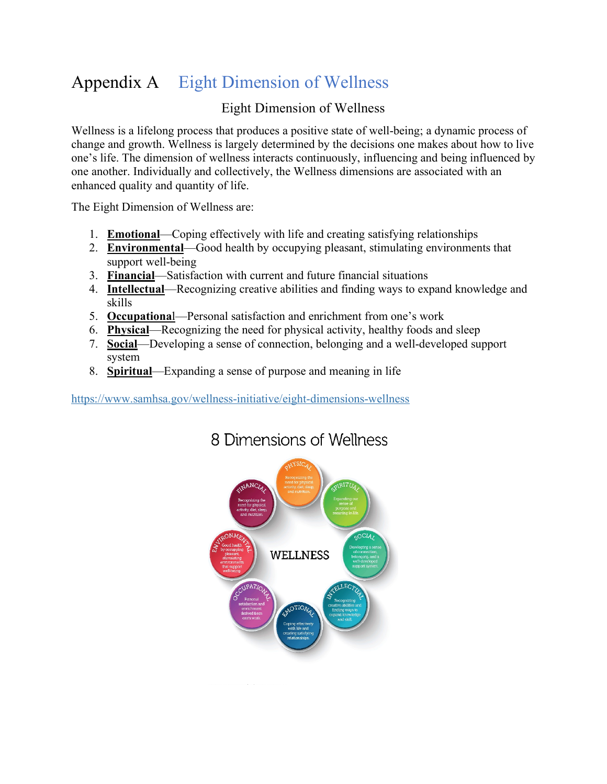# Appendix A Eight Dimension of Wellness

# Eight Dimension of Wellness

Wellness is a lifelong process that produces a positive state of well-being; a dynamic process of change and growth. Wellness is largely determined by the decisions one makes about how to live one's life. The dimension of wellness interacts continuously, influencing and being influenced by one another. Individually and collectively, the Wellness dimensions are associated with an enhanced quality and quantity of life.

The Eight Dimension of Wellness are:

- 1. **Emotional**—Coping effectively with life and creating satisfying relationships
- 2. **Environmental**—Good health by occupying pleasant, stimulating environments that support well-being
- 3. **Financial**—Satisfaction with current and future financial situations
- 4. **Intellectual**—Recognizing creative abilities and finding ways to expand knowledge and skills
- 5. **Occupationa**l—Personal satisfaction and enrichment from one's work
- 6. **Physical**—Recognizing the need for physical activity, healthy foods and sleep
- 7. **Social**—Developing a sense of connection, belonging and a well-developed support system
- 8. **Spiritual**—Expanding a sense of purpose and meaning in life

https://www.samhsa.gov/wellness-initiative/eight-dimensions-wellness



# 8 Dimensions of Wellness